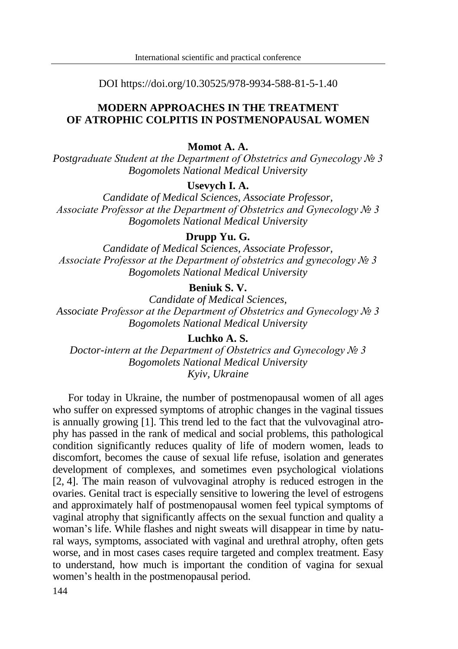DOI https://doi.org/10.30525/978-9934-588-81-5-1.40

## **MODERN APPROACHES IN THE TREATMENT OF ATROPHIC COLPITIS IN POSTMENOPAUSAL WOMEN**

### **Momot A. A.**

*Postgraduate Student at the Department of Obstetrics and Gynecology № 3 Bogomolets National Medical University*

## **Usevych I. A.**

*Candidate of Medical Sciences, Associate Professor, Associate Professor at the Department of Obstetrics and Gynecology № 3 Bogomolets National Medical University*

### **Drupp Yu. G.**

*Candidate of Medical Sciences, Associate Professor, Associate Professor at the Department of obstetrics and gynecology № 3 Bogomolets National Medical University*

## **Beniuk S. V.**

*Candidate of Medical Sciences, Associate Professor at the Department of Obstetrics and Gynecology № 3 Bogomolets National Medical University*

**Luchko A. S.**

*Doctor-intern at the Department of Obstetrics and Gynecology № 3 Bogomolets National Medical University Kyiv, Ukraine*

For today in Ukraine, the number of postmenopausal women of all ages who suffer on expressed symptoms of atrophic changes in the vaginal tissues is annually growing [1]. This trend led to the fact that the vulvovaginal atrophy has passed in the rank of medical and social problems, this pathological condition significantly reduces quality of life of modern women, leads to discomfort, becomes the cause of sexual life refuse, isolation and generates development of complexes, and sometimes even psychological violations [2, 4]. The main reason of vulvovaginal atrophy is reduced estrogen in the ovaries. Genital tract is especially sensitive to lowering the level of estrogens and approximately half of postmenopausal women feel typical symptoms of vaginal atrophy that significantly affects on the sexual function and quality a woman's life. While flashes and night sweats will disappear in time by natural ways, symptoms, associated with vaginal and urethral atrophy, often gets worse, and in most cases cases require targeted and complex treatment. Easy to understand, how much is important the condition of vagina for sexual women's health in the postmenopausal period.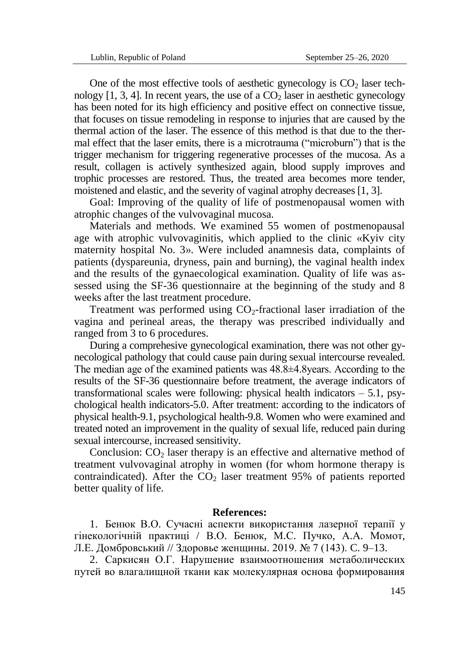One of the most effective tools of aesthetic gynecology is  $CO<sub>2</sub>$  laser technology  $[1, 3, 4]$ . In recent years, the use of a  $CO<sub>2</sub>$  laser in aesthetic gynecology has been noted for its high efficiency and positive effect on connective tissue, that focuses on tissue remodeling in response to injuries that are caused by the thermal action of the laser. The essence of this method is that due to the thermal effect that the laser emits, there is a microtrauma ("microburn") that is the trigger mechanism for triggering regenerative processes of the mucosa. As a result, collagen is actively synthesized again, blood supply improves and trophic processes are restored. Thus, the treated area becomes more tender, moistened and elastic, and the severity of vaginal atrophy decreases [1, 3].

Goal: Improving of the quality of life of postmenopausal women with atrophic changes of the vulvovaginal mucosa.

Materials and methods. We examined 55 women of postmenopausal age with atrophic vulvovaginitis, which applied to the clinic «Kyiv city maternity hospital No. 3». Were included anamnesis data, complaints of patients (dyspareunia, dryness, pain and burning), the vaginal health index and the results of the gynaecological examination. Quality of life was assessed using the SF-36 questionnaire at the beginning of the study and 8 weeks after the last treatment procedure.

Treatment was performed using  $CO<sub>2</sub>$ -fractional laser irradiation of the vagina and perineal areas, the therapy was prescribed individually and ranged from 3 to 6 procedures.

During a comprehesive gynecological examination, there was not other gynecological pathology that could cause pain during sexual intercourse revealed. The median age of the examined patients was 48.8±4.8years. According to the results of the SF-36 questionnaire before treatment, the average indicators of transformational scales were following: physical health indicators  $-5.1$ , psychological health indicators-5.0. After treatment: according to the indicators of physical health-9.1, psychological health-9.8. Women who were examined and treated noted an improvement in the quality of sexual life, reduced pain during sexual intercourse, increased sensitivity.

Conclusion:  $CO<sub>2</sub>$  laser therapy is an effective and alternative method of treatment vulvovaginal atrophy in women (for whom hormone therapy is contraindicated). After the  $CO<sub>2</sub>$  laser treatment 95% of patients reported better quality of life.

#### **References:**

1. Бенюк В.О. Сучасні аспекти використання лазерної терапії у гінекологічній практиці / В.О. Бенюк, М.С. Пучко, А.А. Момот, Л.Е. Домбровський // Здоровье женщины. 2019. № 7 (143). C. 9–13.

2. Саркисян О.Г. Нарушение взаимоотношения метаболических путей во влагалищной ткани как молекулярная основа формирования